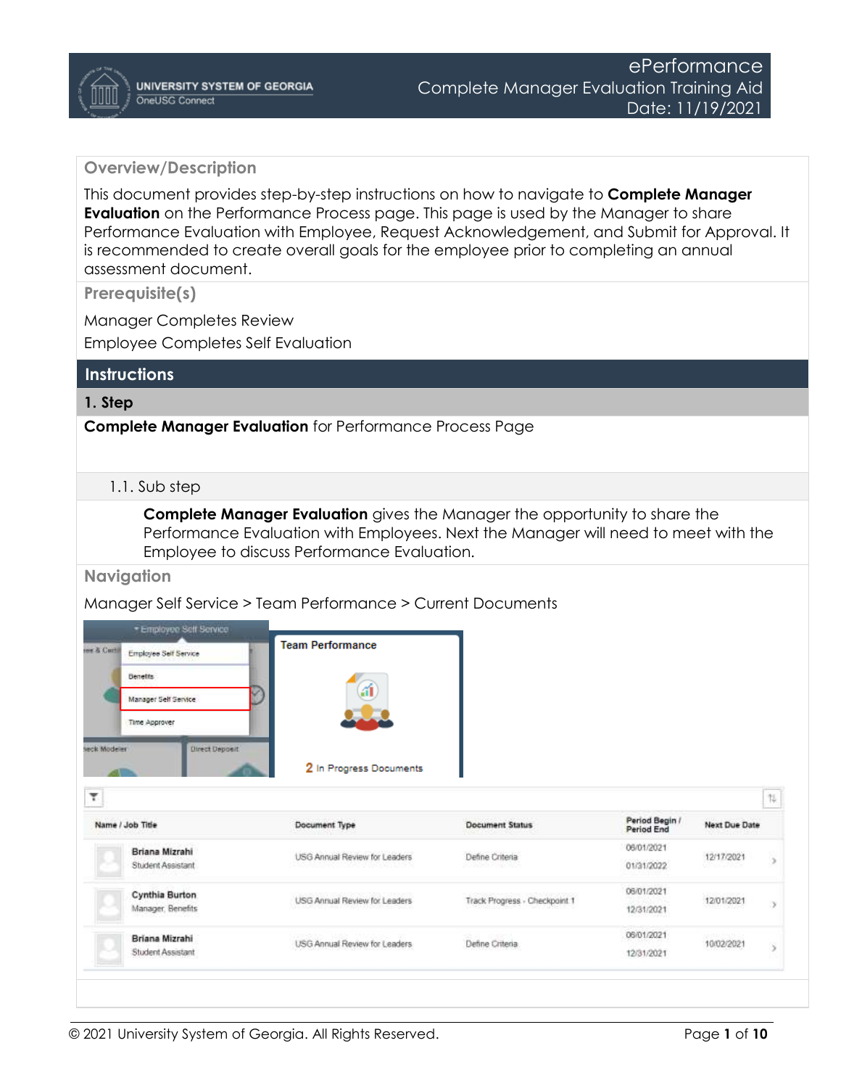## **Overview/Description**

This document provides step-by-step instructions on how to navigate to **Complete Manager Evaluation** on the Performance Process page. This page is used by the Manager to share Performance Evaluation with Employee, Request Acknowledgement, and Submit for Approval. It is recommended to create overall goals for the employee prior to completing an annual assessment document.

**Prerequisite(s)**

Manager Completes Review Employee Completes Self Evaluation

## **Instructions**

## **1. Step**

**Complete Manager Evaluation** for Performance Process Page

#### 1.1. Sub step

**Complete Manager Evaluation** gives the Manager the opportunity to share the Performance Evaluation with Employees. Next the Manager will need to meet with the Employee to discuss Performance Evaluation.

#### **Navigation**

Manager Self Service > Team Performance > Current Documents

| ow & Certif<br>Employee Self Service<br><b>Denetts</b><br>Manager Self Service<br>Time Approver | <b>Team Performance</b><br>áÍ            |                               |                              |                            |                       |
|-------------------------------------------------------------------------------------------------|------------------------------------------|-------------------------------|------------------------------|----------------------------|-----------------------|
| seck Modeler<br><b>Direct Deposit</b><br>۳<br>Name / Job Title                                  | 2 In Progress Documents<br>Document Type | <b>Document Status</b>        | Period Begin /<br>Period End | Next Due Date              | $\uparrow \downarrow$ |
| Briana Mizrahi<br>Student Assistant                                                             | USG Annual Review for Leaders            | Define Criteria               | 06/01/2021<br>01/31/2022     | 12/17/2021                 |                       |
| Cynthia Burton<br>Manager, Benefits                                                             | USG Annual Review for Leaders            | Track Progress - Checkpoint 1 | 06/01/2021<br>12/31/2021     | 12/01/2021                 |                       |
| Briana Mizrahi                                                                                  | USG Annual Review for Leaders            | Define Criteria               | 06/01/2021                   | motion prote<br>10/02/2021 |                       |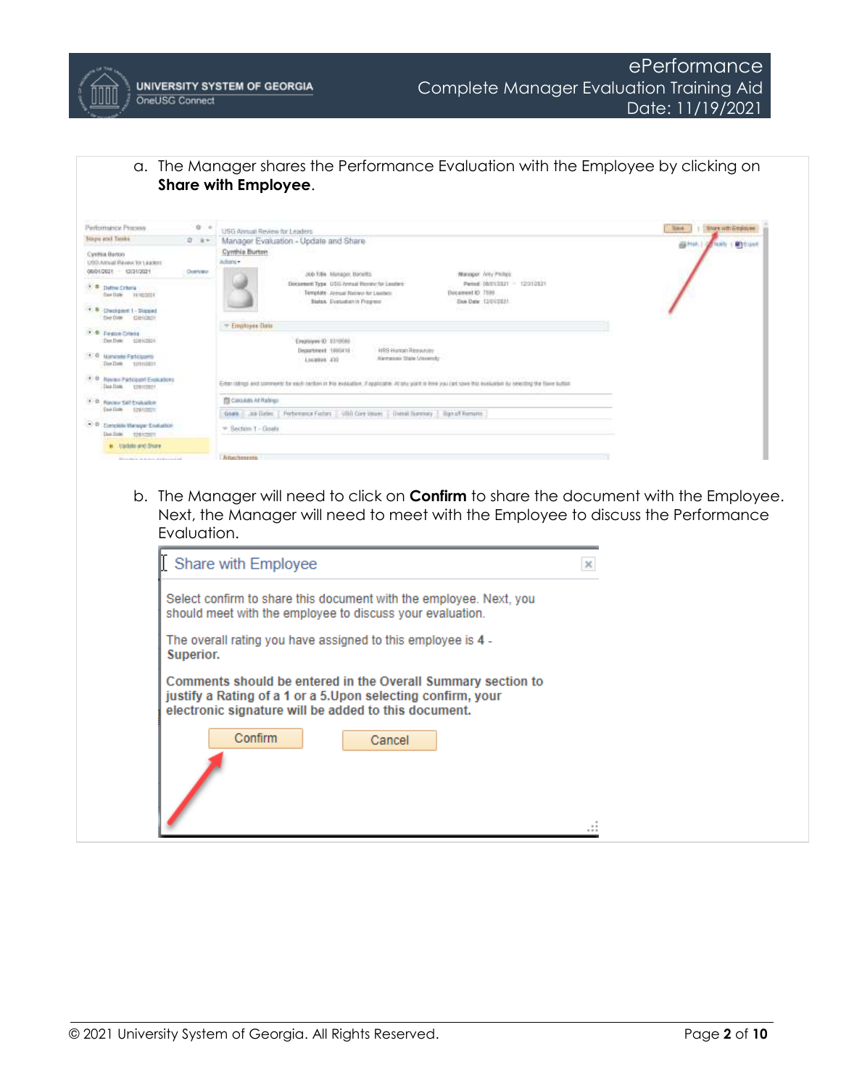a. The Manager shares the Performance Evaluation with the Employee by clicking on **Share with Employee**.

| Performancy Process                                                                             | $0 - 4$  | USG Annual Review for Leaders                                                                                                                                                                                                                                                | Share with Employee<br>Slave.    |
|-------------------------------------------------------------------------------------------------|----------|------------------------------------------------------------------------------------------------------------------------------------------------------------------------------------------------------------------------------------------------------------------------------|----------------------------------|
| Sisps and Tanke                                                                                 | $0 + +$  | Manager Evaluation - Update and Share                                                                                                                                                                                                                                        | <b>Gitter</b><br>oldy 1 Milcount |
| Cysthia Burton<br>USS Annual Revey for League<br>06/01/2021 02/21/2021                          | Overview | Cyrrinia Burton<br>Achieni+1<br>Warelook Jelly Phillips:<br>Job Title, Manager Hoteltz-                                                                                                                                                                                      |                                  |
| 3. @ Define Criteria<br>Two Date: 11/10/2021<br>$+ 8$ Decipent 1 - Support<br>DetDille Cientach |          | Discussed: Type USG Annual Henrick for Leathers'<br>Penne 06/01/2821 - 12/31/2821<br>Decament to 7505<br>Template Aircraft Recieve for Lauders:<br>Status. Evaluation in Progress<br>Don Date: (201022)<br><b>ARTICLE IN THE REAL</b><br>to build Have a control OCC Chinese |                                  |
| <b>C. B. Finalse Criters</b><br>Day Daw 42442824                                                |          | = Employee Data<br>Emiltown 0 0119566<br>Department 1980416<br><b>HRS Human Researchs</b>                                                                                                                                                                                    |                                  |
| 1 0 Nonester Participants<br>Don Date: 12/212227                                                |          | Harmessey State University<br>Link#Box 235                                                                                                                                                                                                                                   |                                  |
| $+3 - 13$<br>Reveri Participant Evokations<br>DADIN DUINER                                      |          | Erter oldings and comments for each certain in this evaluation. If applicable, At one post in line you can specified was beaution to severiting the blane liablat.                                                                                                           |                                  |
| $4 - 13$ .<br>Rooky SaltExplorer                                                                |          | <b>TO CHOANS At Halers</b>                                                                                                                                                                                                                                                   |                                  |
| Davidski (painters)                                                                             |          | Geark Job Delive   Performance Fechen   490 Core Velare)   Dorold Summary   Bige of Kersumi                                                                                                                                                                                  |                                  |
| $-2$<br>Complete Manager Explusion<br>Dan Dain: rigarman:                                       |          | * Section 1 - Goals                                                                                                                                                                                                                                                          |                                  |
| in Lindsto and Share                                                                            |          |                                                                                                                                                                                                                                                                              |                                  |
| Elder dealer in the street of the former in the                                                 |          | Attachereren                                                                                                                                                                                                                                                                 |                                  |

b. The Manager will need to click on **Confirm** to share the document with the Employee. Next, the Manager will need to meet with the Employee to discuss the Performance Evaluation.

| Share with Employee                                                                                                                                                                 |  |
|-------------------------------------------------------------------------------------------------------------------------------------------------------------------------------------|--|
| Select confirm to share this document with the employee. Next, you<br>should meet with the employee to discuss your evaluation.                                                     |  |
| The overall rating you have assigned to this employee is 4 -<br>Superior.                                                                                                           |  |
| Comments should be entered in the Overall Summary section to<br>justify a Rating of a 1 or a 5.Upon selecting confirm, your<br>electronic signature will be added to this document. |  |
| Confirm<br>Cancel                                                                                                                                                                   |  |
|                                                                                                                                                                                     |  |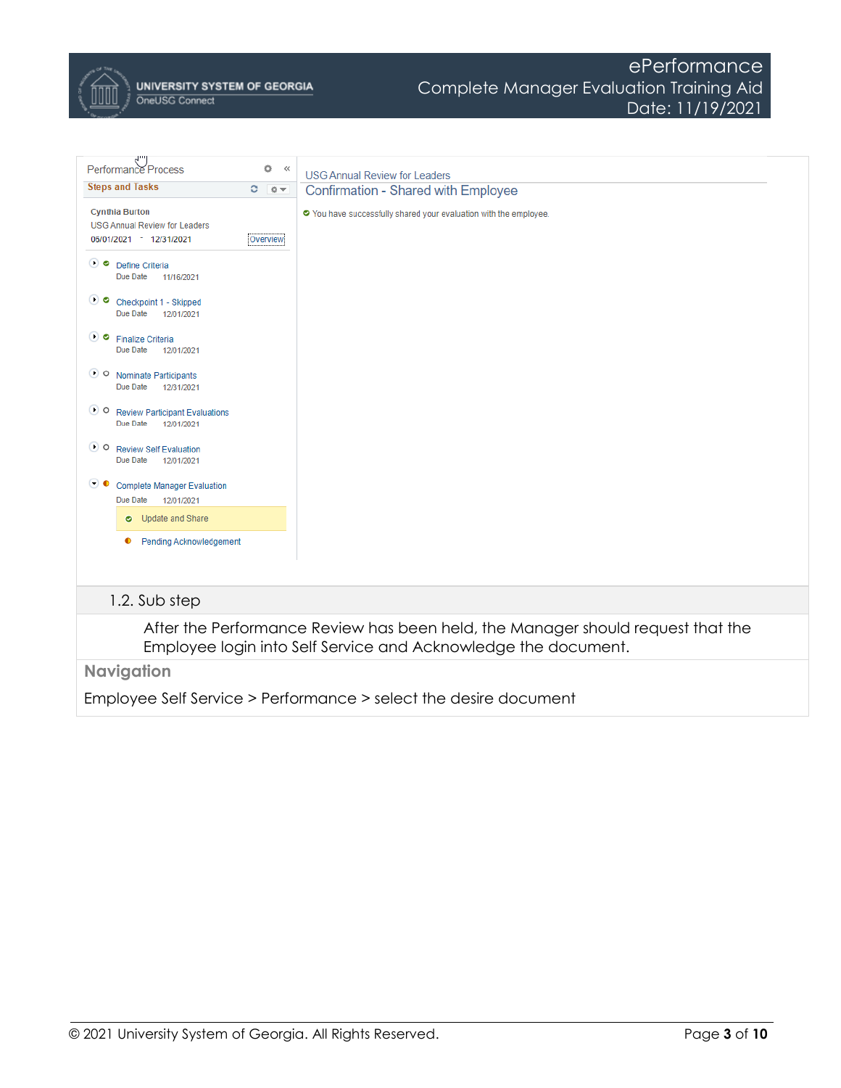

**UNIVERSITY SYSTEM OF GEORGIA** OneUSG Connect

| ö<br>Performance Process<br>$<<$<br><b>Steps and Tasks</b><br>C.<br>卷一                               | <b>USG Annual Review for Leaders</b><br>Confirmation - Shared with Employee                                                                       |
|------------------------------------------------------------------------------------------------------|---------------------------------------------------------------------------------------------------------------------------------------------------|
| <b>Cynthia Burton</b><br><b>USG Annual Review for Leaders</b><br>06/01/2021 - 12/31/2021<br>Overview | O You have successfully shared your evaluation with the employee.                                                                                 |
| ∪ 0<br>Define Criteria<br>Due Date<br>11/16/2021                                                     |                                                                                                                                                   |
| $\bullet$ 0<br>Checkpoint 1 - Skipped<br>Due Date<br>12/01/2021                                      |                                                                                                                                                   |
| $\mathbf{\bullet}$<br><b>Finalize Criteria</b><br>Due Date<br>12/01/2021                             |                                                                                                                                                   |
| $\bullet$ o<br>Nominate Participants<br>Due Date<br>12/31/2021                                       |                                                                                                                                                   |
| $\bullet$<br><b>Review Participant Evaluations</b><br>Due Date<br>12/01/2021                         |                                                                                                                                                   |
| $\bullet$ 0<br><b>Review Self Evaluation</b><br>Due Date<br>12/01/2021                               |                                                                                                                                                   |
| $\left( \bullet\right)$ o<br><b>Complete Manager Evaluation</b><br>Due Date<br>12/01/2021            |                                                                                                                                                   |
| Update and Share<br>$\bullet$                                                                        |                                                                                                                                                   |
| <b>Pending Acknowledgement</b><br>$\bullet$                                                          |                                                                                                                                                   |
| 1.2. Sub step                                                                                        |                                                                                                                                                   |
|                                                                                                      | After the Performance Review has been held, the Manager should request that the<br>Employee login into Self Service and Acknowledge the document. |
| <b>Navigation</b>                                                                                    |                                                                                                                                                   |

Employee Self Service > Performance > select the desire document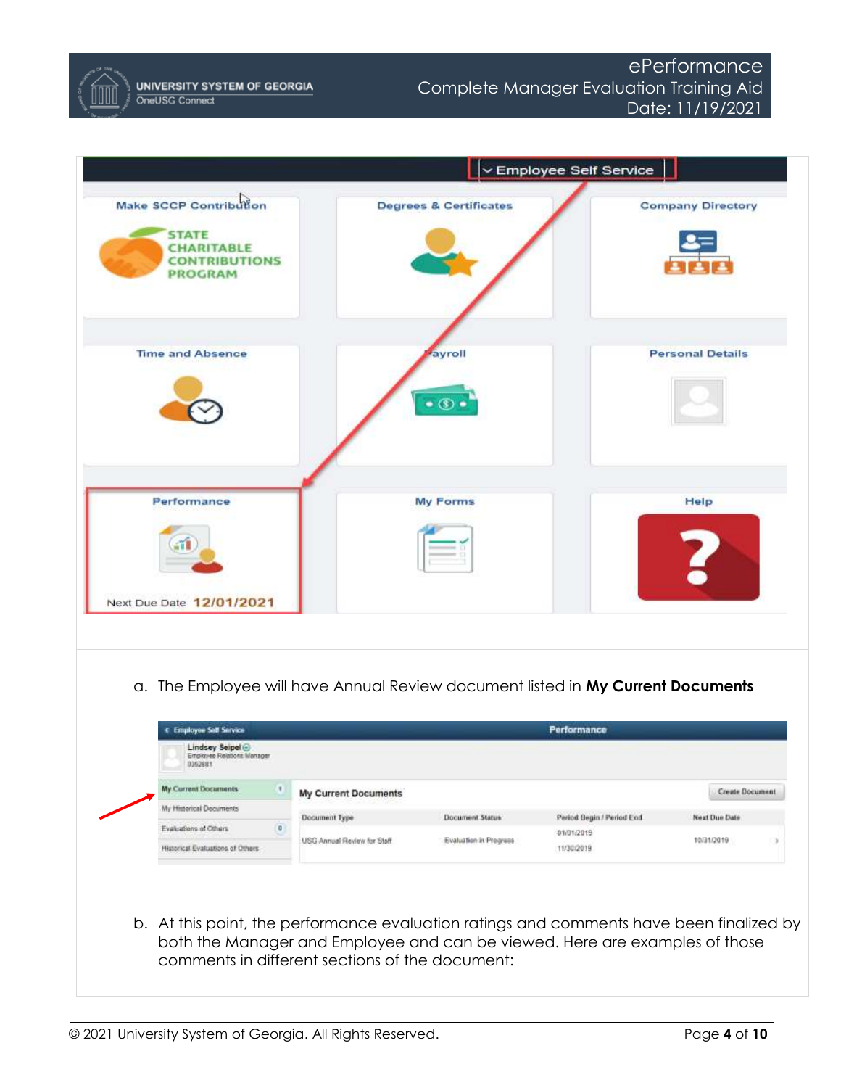



b. At this point, the performance evaluation ratings and comments have been finalized by both the Manager and Employee and can be viewed. Here are examples of those comments in different sections of the document: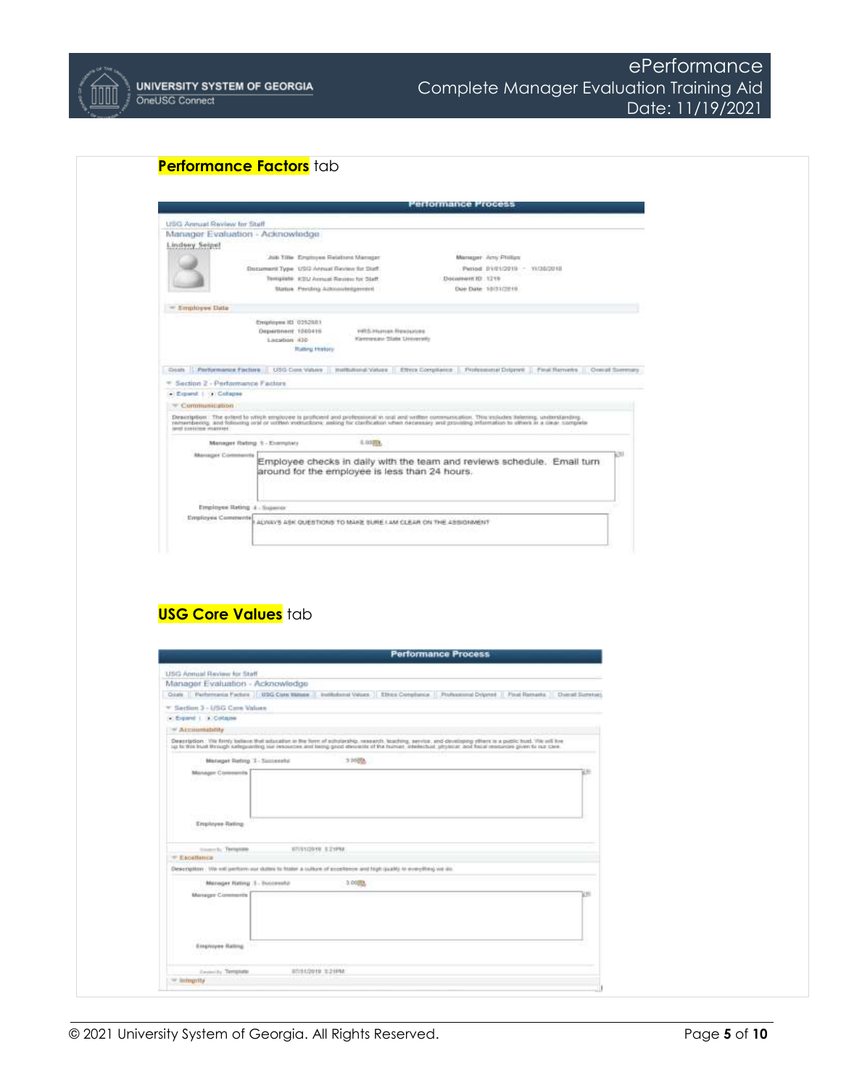

|                                   | Performance Process                                                                                                                                                                                                                                                                                                |
|-----------------------------------|--------------------------------------------------------------------------------------------------------------------------------------------------------------------------------------------------------------------------------------------------------------------------------------------------------------------|
| USG Annual Review for Staff       |                                                                                                                                                                                                                                                                                                                    |
| Manager Evaluation - Acknowledge  |                                                                                                                                                                                                                                                                                                                    |
| Lindsey Seepel                    |                                                                                                                                                                                                                                                                                                                    |
|                                   | Manager Arts Philips<br>Job Title Employee Relations Manager                                                                                                                                                                                                                                                       |
|                                   | Document Type 1/3/3 Atrout Review for Skaff<br>Period 01/01/2019 - 11/30/2019                                                                                                                                                                                                                                      |
|                                   | Template, KSU Annual Review for Staff.<br><b>Денативт Ю. 1219</b><br>Status Perdro ActionWedgement<br>Due Date: 10/31/2019                                                                                                                                                                                         |
| $=$ Employee Data                 |                                                                                                                                                                                                                                                                                                                    |
|                                   | Enriprisipen IEI 0352681                                                                                                                                                                                                                                                                                           |
|                                   | Department 1000416<br>HRS-Human Resources<br>Klermster State University<br>Lazation 430                                                                                                                                                                                                                            |
|                                   | Rating Holter                                                                                                                                                                                                                                                                                                      |
|                                   | Coats   Performance Factors   USO Con Vation   Holtballons Vation   Effect Compilation   Pictorsminal Dispare   Final Retrieve   Contrast Summary                                                                                                                                                                  |
| = Section 2 - Performance Factors |                                                                                                                                                                                                                                                                                                                    |
| C Expand   O Cohapse              |                                                                                                                                                                                                                                                                                                                    |
| $\equiv$ Communication            |                                                                                                                                                                                                                                                                                                                    |
| land expiriture imagines.         | Description : The extent to which employee is profesent and professional in real and written communication. This includes tiskeong, uniterstanding,<br>nemembering, and following aral or written vistrustions; asking for clarification schen récessairy and providing infarmation to others in a clear, complete |
|                                   | 6.00 (1).<br>Menager Rating, 1 - Ecomplary                                                                                                                                                                                                                                                                         |
| Manager Comments                  | Employee checks in daily with the team and reviews schedule. Email turn                                                                                                                                                                                                                                            |
|                                   | around for the employee is less than 24 hours.                                                                                                                                                                                                                                                                     |
|                                   |                                                                                                                                                                                                                                                                                                                    |
|                                   |                                                                                                                                                                                                                                                                                                                    |
| Employee Rating 4 - Superior      |                                                                                                                                                                                                                                                                                                                    |
| Employes Commente                 | ALWAYS ASK QUESTIONS TO MAKE SURE I AM CLEAR ON THE ASSIGNMENT                                                                                                                                                                                                                                                     |
|                                   |                                                                                                                                                                                                                                                                                                                    |
|                                   |                                                                                                                                                                                                                                                                                                                    |
| <b>USG Core Values tab</b>        |                                                                                                                                                                                                                                                                                                                    |
|                                   |                                                                                                                                                                                                                                                                                                                    |
|                                   | <b>Performance Process</b>                                                                                                                                                                                                                                                                                         |
| USG Annual Review for Staff       |                                                                                                                                                                                                                                                                                                                    |
| Manager Evaluation - Acknowledge  |                                                                                                                                                                                                                                                                                                                    |
|                                   | Oash Performance Pedun   UDG Core Webser   Inchibional Velues   EBios Complumes   Philosommal Drighted   Flood Ramarks   Dumat Sumeries                                                                                                                                                                            |
| * Section 3 - USG Core Values     |                                                                                                                                                                                                                                                                                                                    |
| C: Expand 1. D: Collatte          |                                                                                                                                                                                                                                                                                                                    |
| $\equiv$ Accountability           |                                                                                                                                                                                                                                                                                                                    |
|                                   | Deepription : We firmly believe that adusation in the form of scholarship, research, licaching, service, and chrockpang attent in a public bust. We will live<br>up to this bust through sateguarding isla resources and being go                                                                                  |
| Manager Rating 1 - Soccessful     | 330版                                                                                                                                                                                                                                                                                                               |
| Manager Commercial                |                                                                                                                                                                                                                                                                                                                    |
|                                   |                                                                                                                                                                                                                                                                                                                    |
|                                   |                                                                                                                                                                                                                                                                                                                    |
|                                   |                                                                                                                                                                                                                                                                                                                    |
| Employee Rating                   |                                                                                                                                                                                                                                                                                                                    |
|                                   |                                                                                                                                                                                                                                                                                                                    |
| towerly Temptow<br>* Exoslimor:   | STOUGHT E21PM                                                                                                                                                                                                                                                                                                      |
|                                   | Description : We will jerritern our duties to fosler a culture of eccellence and high quality to everything we do.                                                                                                                                                                                                 |
| Matisger Rating 1 - Ecccessful    | 3.0000                                                                                                                                                                                                                                                                                                             |
| Manager Commertis                 | w                                                                                                                                                                                                                                                                                                                  |
|                                   |                                                                                                                                                                                                                                                                                                                    |
|                                   |                                                                                                                                                                                                                                                                                                                    |
|                                   |                                                                                                                                                                                                                                                                                                                    |
|                                   |                                                                                                                                                                                                                                                                                                                    |
| Ereproyee Nating                  |                                                                                                                                                                                                                                                                                                                    |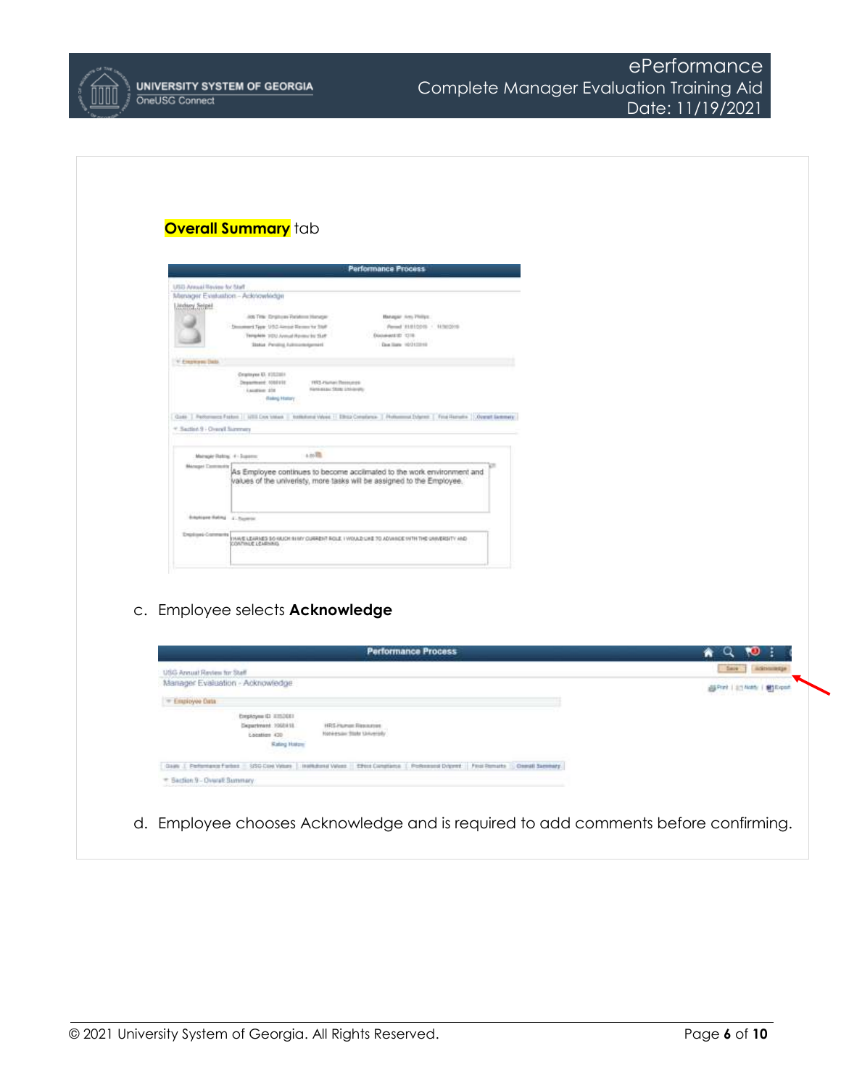

# **Overall Summary** tab

|                                                    |                                                                        | <b>Performance Process</b>                                                                                                          |  |
|----------------------------------------------------|------------------------------------------------------------------------|-------------------------------------------------------------------------------------------------------------------------------------|--|
| <b>URIL Annual Baying Av Staff</b>                 |                                                                        |                                                                                                                                     |  |
|                                                    | Manager Evaluation - Adolewhidge                                       |                                                                                                                                     |  |
| Litchsey Seigel                                    |                                                                        |                                                                                                                                     |  |
|                                                    | AN THE Employer Parations Hanager                                      | Managair Ares Philips:                                                                                                              |  |
|                                                    | - Newmark Type: U.S.C. Alexand Marmor for Staff                        | Percent #1410016 - 14560205                                                                                                         |  |
|                                                    | Template 1033 Annual Review for Skell                                  | Discussed ID 1318.                                                                                                                  |  |
|                                                    | Status Peninsi Administratori                                          | Dog Hara strikened                                                                                                                  |  |
| V Experient Data                                   |                                                                        |                                                                                                                                     |  |
|                                                    | Countype El. E1022011                                                  |                                                                                                                                     |  |
|                                                    | Department 100223<br>FREY-Plumary Pleasurers                           |                                                                                                                                     |  |
|                                                    | Hermanner State University<br>Laugher 218                              |                                                                                                                                     |  |
|                                                    | <b><i>Raking Hollary</i></b>                                           |                                                                                                                                     |  |
|                                                    |                                                                        | Gate   Parksmans Fasture   USS Cros Video   Institutor Video   Ship Constance   Publishmed Schmell   Fina Hamate   Overall Settings |  |
|                                                    |                                                                        |                                                                                                                                     |  |
|                                                    | $1.00\,$<br>Mainspie Rating, 4 - Suparro:                              |                                                                                                                                     |  |
| * Saction 9 - Overall Summers<br>Manager Community | values of the univeristy, more tasks will be assigned to the Employee. | As Employee continues to become acclimated to the work environment and                                                              |  |
|                                                    | <b>Educations Holling 4 - Reserves</b>                                 |                                                                                                                                     |  |
| <b>Drastowi-Contracts</b>                          | CONTINUE LEADNING                                                      | THAVE LEARNED SO KAJOH BI HY CURRENT ROLE I WOULD UNE 70 ADVANCE WITH THE UNIVERSITY AND                                            |  |

c. Employee selects **Acknowledge**

| USG Annual Review for Staff.                                                                                              | Date:              |
|---------------------------------------------------------------------------------------------------------------------------|--------------------|
| Manager Evaluation - Acknowledge                                                                                          | <b>SIS</b> E goals |
| - Enginyee Onta                                                                                                           |                    |
| Eveptoyee (D ETS203)                                                                                                      |                    |
| <b>HRS Plumer Resources</b><br>Department 2060418<br>Honessie State University                                            |                    |
| Location 430<br><b>Rating Hotors</b>                                                                                      |                    |
| Claim J. Performance Forbini: USG-Claim Veture   Institutional Veture   Effect Claimbinis   Portions on DV (mit Forbins ) |                    |
| = Baction 9 - Dywall Burnmary                                                                                             |                    |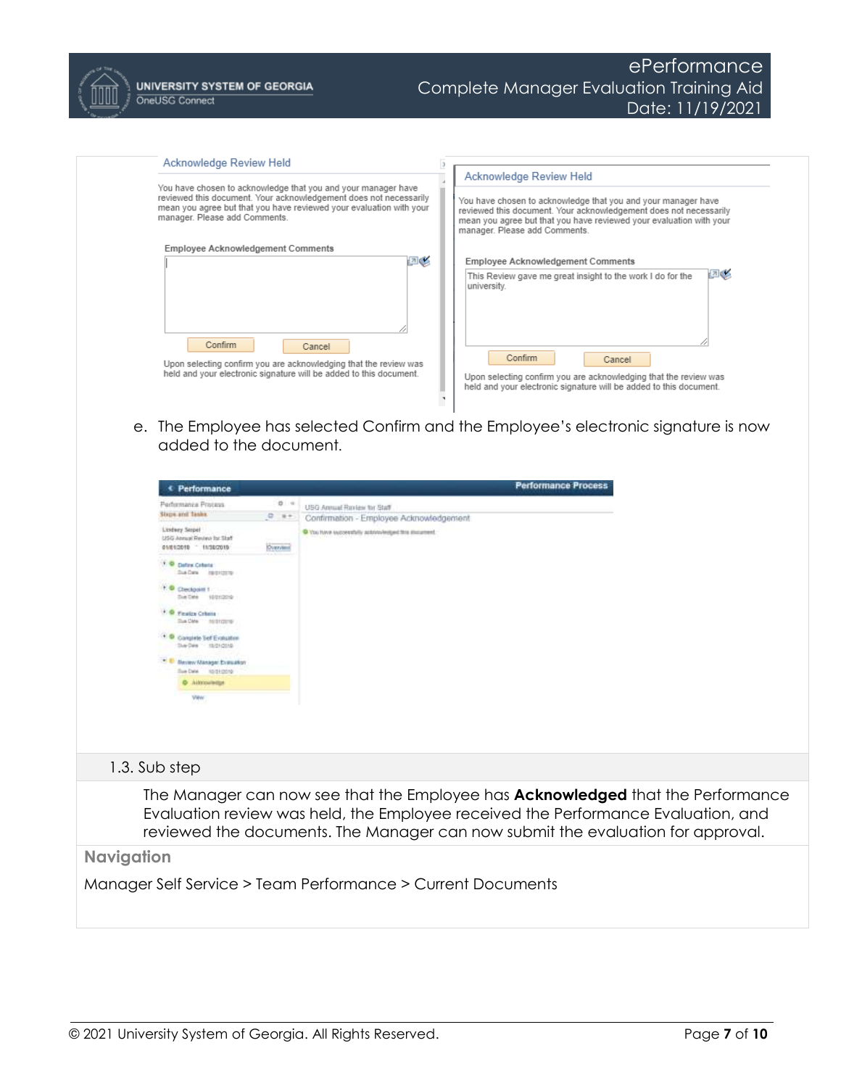

| Acknowledge Review Held                                                                                                                                                                                                                    |                                                                                                                                                                                                                                                                       |
|--------------------------------------------------------------------------------------------------------------------------------------------------------------------------------------------------------------------------------------------|-----------------------------------------------------------------------------------------------------------------------------------------------------------------------------------------------------------------------------------------------------------------------|
| You have chosen to acknowledge that you and your manager have<br>reviewed this document. Your acknowledgement does not necessarily<br>mean you agree but that you have reviewed your evaluation with your<br>manager. Please add Comments. | Acknowledge Review Held<br>You have chosen to acknowledge that you and your manager have<br>reviewed this document. Your acknowledgement does not necessarily<br>mean you agree but that you have reviewed your evaluation with your<br>manager. Please add Comments. |
| <b>Employee Acknowledgement Comments</b>                                                                                                                                                                                                   |                                                                                                                                                                                                                                                                       |
| ⊡≰                                                                                                                                                                                                                                         | <b>Employee Acknowledgement Comments</b>                                                                                                                                                                                                                              |
| Confirm<br>Cancel<br>Upon selecting confirm you are acknowledging that the review was<br>held and your electronic signature will be added to this document.                                                                                | ⊡⊗<br>This Review gave me great insight to the work I do for the<br>university.<br>Confirm<br>Cancel<br>Upon selecting confirm you are acknowledging that the review was<br>held and your electronic signature will be added to this document.                        |

e. The Employee has selected Confirm and the Employee's electronic signature is now added to the document.

|                   | € Performance                                                                |           | <b>Performance Process</b>                                                                                                                                                                                                                                     |
|-------------------|------------------------------------------------------------------------------|-----------|----------------------------------------------------------------------------------------------------------------------------------------------------------------------------------------------------------------------------------------------------------------|
|                   | Performance Process                                                          | $D - 4$   | USG Annual Review for Staff                                                                                                                                                                                                                                    |
|                   | Slaps and Tasks                                                              | $0 +$     | Confirmation - Employee Acknowledgement                                                                                                                                                                                                                        |
|                   | <b>Listery Sepel</b><br>USG Annual Review for Staff<br>01/05/2010 11/18/2010 | Overvised | C You have successfully activisies and this stucement.                                                                                                                                                                                                         |
|                   | <sup>1</sup> O Defew Coloria<br>Sua Data / Instruction                       |           |                                                                                                                                                                                                                                                                |
|                   | 1. Checkpoint 1.<br>Due Date<br>10012010                                     |           |                                                                                                                                                                                                                                                                |
|                   | * © Feator Crime<br>Sue Date : no discover                                   |           |                                                                                                                                                                                                                                                                |
|                   | <sup>1</sup> Congrele Tell Explainer<br>Sue Date - 15/21/2010                |           |                                                                                                                                                                                                                                                                |
|                   | <sup>3.5</sup> Seven Manager Evasation<br>Sue Date: 10/21/2019               |           |                                                                                                                                                                                                                                                                |
|                   | <b>Q</b> Allmoutettur                                                        |           |                                                                                                                                                                                                                                                                |
|                   | View                                                                         |           |                                                                                                                                                                                                                                                                |
|                   | 1.3. Sub step                                                                |           |                                                                                                                                                                                                                                                                |
|                   |                                                                              |           | The Manager can now see that the Employee has <b>Acknowledged</b> that the Performance<br>Evaluation review was held, the Employee received the Performance Evaluation, and<br>reviewed the documents. The Manager can now submit the evaluation for approval. |
| <b>Navigation</b> |                                                                              |           |                                                                                                                                                                                                                                                                |
|                   |                                                                              |           | Manager Self Service > Team Performance > Current Documents                                                                                                                                                                                                    |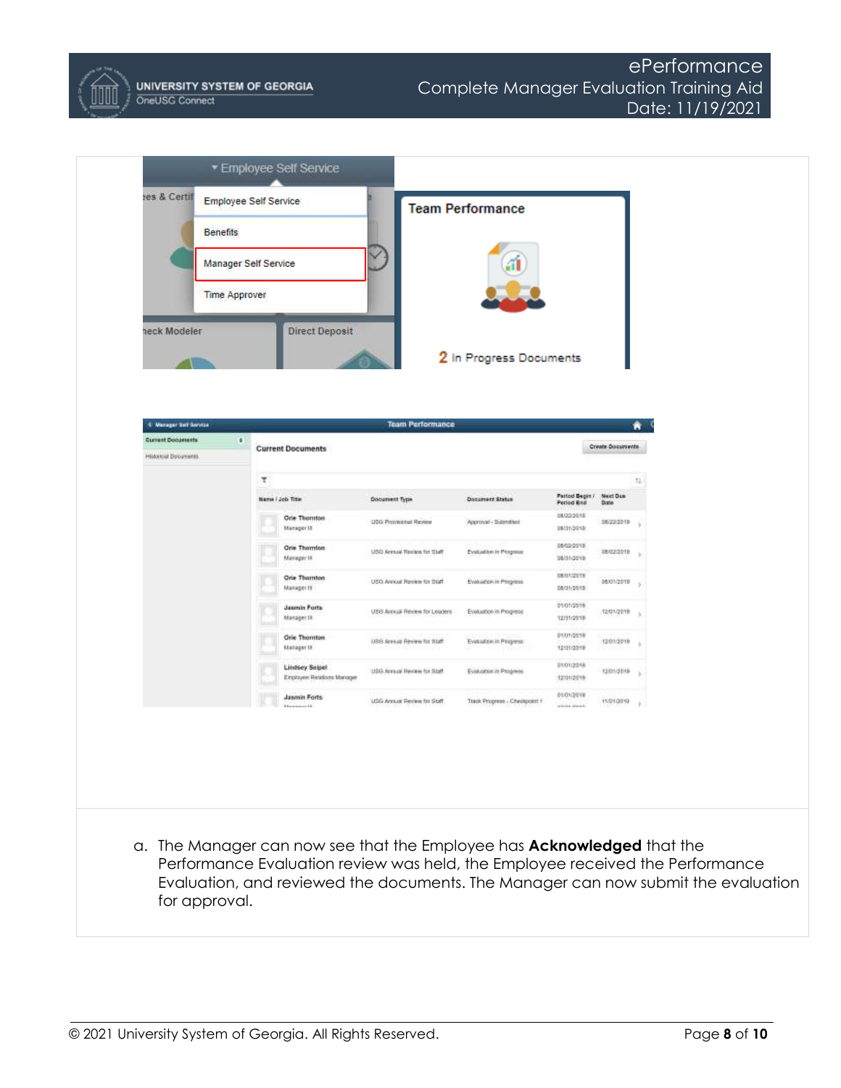

| <b>Employee Self Service</b><br><b>Benefits</b><br>Manager Self Service                       |   |                                             |                               | <b>Team Performance</b>        |                                        |                  |                  |
|-----------------------------------------------------------------------------------------------|---|---------------------------------------------|-------------------------------|--------------------------------|----------------------------------------|------------------|------------------|
| <b>Time Approver</b>                                                                          |   |                                             |                               |                                |                                        |                  |                  |
| neck Modeler                                                                                  |   | <b>Direct Deposit</b>                       |                               | 2 In Progress Documents        |                                        |                  |                  |
| 4 Manager Self Service<br><b>Current Documents</b><br>$\blacksquare$<br>Historical Documents. |   | <b>Current Documents</b>                    | <b>Team Performance</b>       |                                |                                        | Create Documents |                  |
|                                                                                               | × |                                             |                               |                                |                                        |                  | $\mathbb{T}^1_+$ |
|                                                                                               |   | Name / Job Title                            | <b>Document Type</b>          | <b>Document Status</b>         | Parted Begin / Next Due<br>Period Brid | <b>Date</b>      |                  |
|                                                                                               |   | <b>Orie Thomton</b><br>Manager III          | UDD Protisional Review        | Approval - Submitted           | 08/22/2019<br>08/01/2018               | 08/23/2010       |                  |
|                                                                                               |   | <b>Orie Thornton</b><br>Manager IX          | USQ Armual Reniew for that's  | Evaluation in Program          | 08/02/2010<br>08/31/2019               | 08/02/2019       |                  |
|                                                                                               |   | <b>Orie Thornton</b><br>Manager III         | USS Areaal Review for Staff.  | Evaluation in Progress         | S&U1/2019<br>08/01/2019                | 06/01/2019       |                  |
|                                                                                               |   | <b>Jasmin Forts</b><br>Manager III          | USO Armal Review for Leaders' | Evaluation in Progress         | evengers<br>12/31/2018                 | 12/01/2018       |                  |
|                                                                                               |   | Orie Thomton<br>Manager III                 | USS Arrest Review for Staff   | Evasation in Progress.         | \$101/2018<br>12/01/2019               | 1201/2019        |                  |
|                                                                                               |   | Lindsey Seipel<br>Employee Bataloos Manager | USS Annual Review for Staff   | Evaluation in Progress         | 21012219<br>12/01/2019                 | 12301-2019       |                  |
|                                                                                               |   | Jasmin Forts<br><b>Manager 18</b>           | USG Annual Review for Staff   | Track Progress - Checkpoint Y. | 01/01/2019<br>with the students.       | T101/2019        | ×                |
| a. The Manager can now see that the Employee has <b>Acknowledged</b> that the                 |   |                                             |                               |                                |                                        |                  |                  |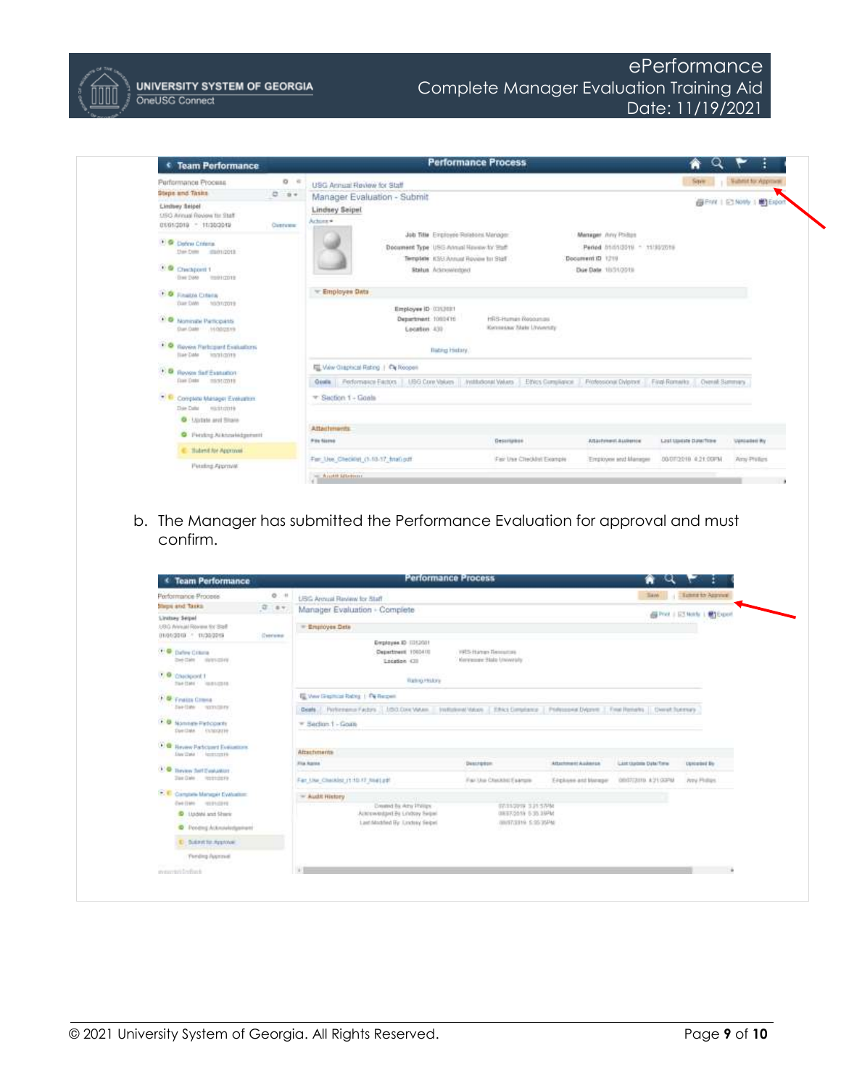

ePerformance Complete Manager Evaluation Training Aid Date: 11/19/2021



b. The Manager has submitted the Performance Evaluation for approval and must confirm.

| Performance Process.                                                             | 0: 11   | <b>USC Armust Review for Staff</b>                                                                                                            |                                                          |                     | <b>Saw</b>          | <b>Tuesday Account</b>      |
|----------------------------------------------------------------------------------|---------|-----------------------------------------------------------------------------------------------------------------------------------------------|----------------------------------------------------------|---------------------|---------------------|-----------------------------|
| <b>Steps and Taxks</b>                                                           | 0.87    | Manager Evaluation - Complete                                                                                                                 |                                                          |                     |                     |                             |
| <b>Linitary Sequel</b><br>USG Annual Royaux for Staff<br>01/01/2010 - 11/30/2019 |         |                                                                                                                                               |                                                          |                     |                     | 高Post   E3 Morb:   開 Export |
|                                                                                  | Connect | - Employee Deta                                                                                                                               |                                                          |                     |                     |                             |
|                                                                                  |         | Englasse ID 11112011                                                                                                                          |                                                          |                     |                     |                             |
| <b>COMPACTED</b><br>Det Date / Hylesdalety                                       |         | Department 1003410<br>Location 438                                                                                                            | 1975 Harran Benjaman<br><b>Kerewore State University</b> |                     |                     |                             |
| <b>D</b> Chroport 1                                                              |         |                                                                                                                                               |                                                          |                     |                     |                             |
| Ter (See ) lease conta                                                           |         | <b>Rating Holory</b>                                                                                                                          |                                                          |                     |                     |                             |
| F & Fratts Crane                                                                 |         | <b>IS Very Greenwal Retrop 1: Pa Respect</b>                                                                                                  |                                                          |                     |                     |                             |
| Janish songary                                                                   |         | Geals 7. Porterains Factors 1.1/2022/04/MAIn - Institution/Mation   Effect Completes   Politicists Digitive   Final Retists   Chevat fuernary |                                                          |                     |                     |                             |
| <b>B</b> Nannen Petcoarty                                                        |         | = Beclinn 1 - Goals                                                                                                                           |                                                          |                     |                     |                             |
| Danibale (Inhouster)                                                             |         |                                                                                                                                               |                                                          |                     |                     |                             |
|                                                                                  |         |                                                                                                                                               |                                                          |                     |                     |                             |
| 大量<br><b>Heyew Particulard Europeanors</b>                                       |         |                                                                                                                                               |                                                          |                     |                     |                             |
| Day Cake   Instrument                                                            |         | Attachments                                                                                                                                   |                                                          |                     |                     |                             |
| <b>CO</b> Thrown Self Evaluation                                                 |         | <b>Kita Agosa</b>                                                                                                                             | <b>Desirekon</b>                                         | Attachment Audienta | List Upon Data Time | conceived for               |
| Dan Dale  Instrumers                                                             |         | Far Use Checkler (110.17 Neet ad:                                                                                                             | Far Use Checklet Exercis-                                | Eighers and blumps  | GROTUSIES AUTOGRAP  | <b>Any Phillips</b>         |
| 17. C Complete Manager Evaluation:                                               |         | - Audit History<br><b>HER RESIDENCE</b>                                                                                                       |                                                          |                     |                     |                             |
| Cast (140) - HELENISTER                                                          |         | Created by Arty Phillips                                                                                                                      | 07/11/2019 3:21:57-58                                    |                     |                     |                             |
| D Ltddahi and Sheric                                                             |         | Actorwedged By Lodosy Segal<br>Last Modiled By Tandeez Segel                                                                                  | <b>GREEZISSH 6.30, 35PM</b><br>WARTZERN 5.95 WAY         |                     |                     |                             |
| C Penetra Acknowledgement                                                        |         |                                                                                                                                               |                                                          |                     |                     |                             |
| E Bullette Approve                                                               |         |                                                                                                                                               |                                                          |                     |                     |                             |
| <b>Firtding Avenue</b>                                                           |         |                                                                                                                                               |                                                          |                     |                     |                             |